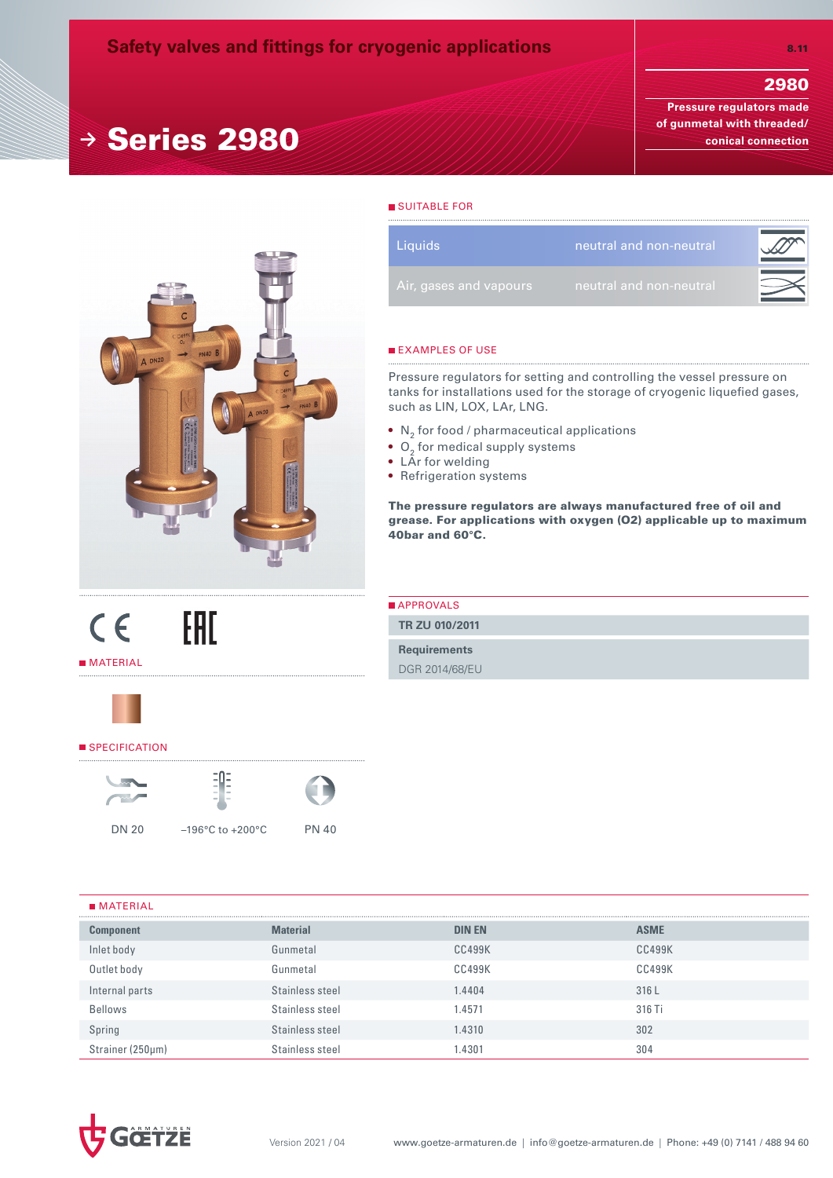# 2980

**Pressure regulators made of gunmetal with threaded/ conical connection**



**<sup>→</sup>** Series 2980

## SUITABLE FOR

| <b>Liquids</b>         | neutral and non-neutral |  |
|------------------------|-------------------------|--|
| Air, gases and vapours | neutral and non-neutral |  |

### **EXAMPLES OF USE**

Pressure regulators for setting and controlling the vessel pressure on tanks for installations used for the storage of cryogenic liquefied gases, such as LIN, LOX, LAr, LNG.

- $\bullet \;$  N $_{2}$  for food / pharmaceutical applications
- $\bullet$  O<sub>2</sub> for medical supply systems
- LÂr for welding
- Refrigeration systems

The pressure regulators are always manufactured free of oil and grease. For applications with oxygen (O2) applicable up to maximum 40bar and 60°C.

| <b>APPROVALS</b>    |
|---------------------|
| TR ZU 010/2011      |
| <b>Requirements</b> |
| DGR 2014/68/EU      |



**MATERIAL** 

 $C \in$ 

#### SPECIFICATION





EAC





DN 20 –196°C to +200°C PN 40

# $MATERIAI$

| $\blacksquare$ $\blacksquare$ $\blacksquare$ $\blacksquare$ $\blacksquare$ |                 |               |             |
|----------------------------------------------------------------------------|-----------------|---------------|-------------|
| <b>Component</b>                                                           | <b>Material</b> | <b>DIN EN</b> | <b>ASME</b> |
| Inlet body                                                                 | Gunmetal        | <b>CC499K</b> | CC499K      |
| Outlet body                                                                | Gunmetal        | CC499K        | CC499K      |
| Internal parts                                                             | Stainless steel | .4404         | 316L        |
| <b>Bellows</b>                                                             | Stainless steel | .4571         | 316 Ti      |
| Spring                                                                     | Stainless steel | .4310         | 302         |
| Strainer (250µm)                                                           | Stainless steel | .4301         | 304         |

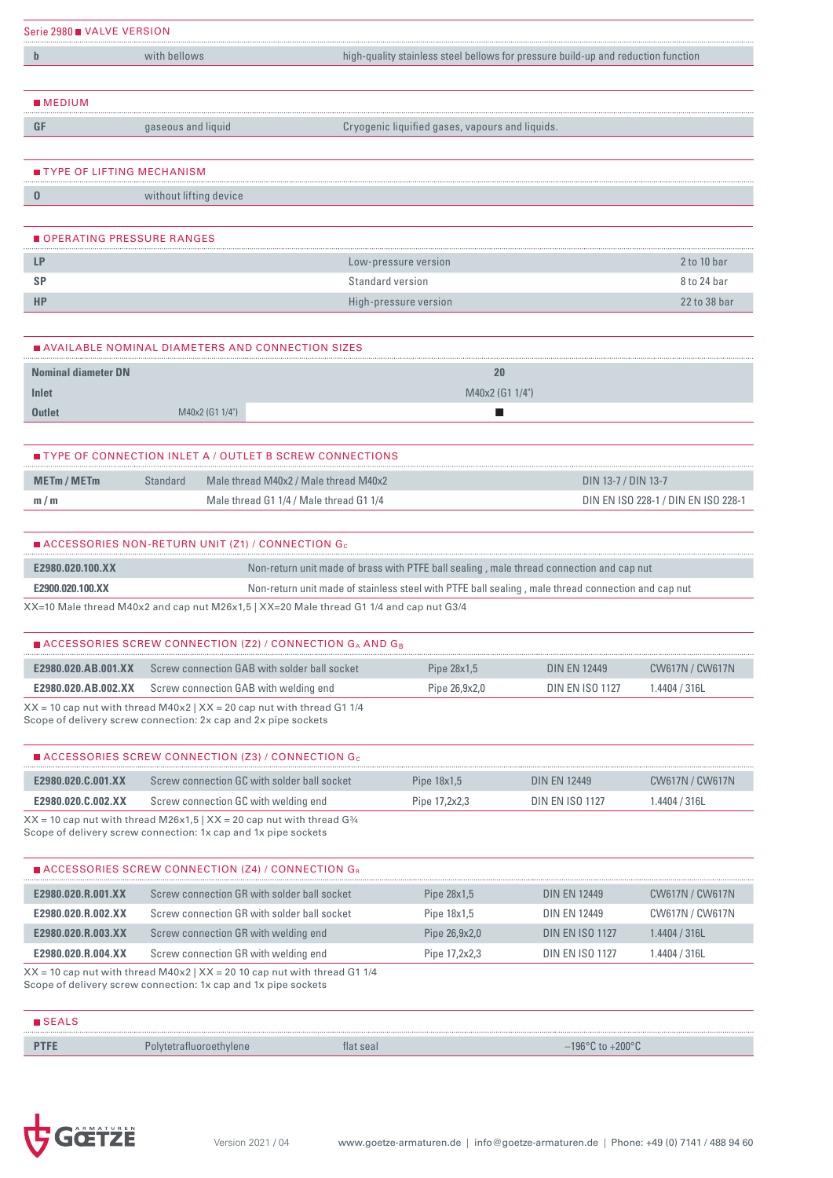| Serie 2980 VALVE VERSION                                                                                                                       |                                                                           |                                                                                                    |                     |                                     |
|------------------------------------------------------------------------------------------------------------------------------------------------|---------------------------------------------------------------------------|----------------------------------------------------------------------------------------------------|---------------------|-------------------------------------|
| $\mathbf b$                                                                                                                                    | with bellows                                                              | high-quality stainless steel bellows for pressure build-up and reduction function                  |                     |                                     |
| <b>MEDIUM</b>                                                                                                                                  |                                                                           |                                                                                                    |                     |                                     |
| GF                                                                                                                                             | gaseous and liquid                                                        | Cryogenic liquified gases, vapours and liquids.                                                    |                     |                                     |
| ■ TYPE OF LIFTING MECHANISM                                                                                                                    |                                                                           |                                                                                                    |                     |                                     |
| $\bf{0}$                                                                                                                                       | without lifting device                                                    |                                                                                                    |                     |                                     |
|                                                                                                                                                | OPERATING PRESSURE RANGES                                                 |                                                                                                    |                     |                                     |
| LP                                                                                                                                             |                                                                           | Low-pressure version                                                                               |                     | 2 to 10 bar                         |
| <b>SP</b>                                                                                                                                      |                                                                           | Standard version                                                                                   |                     | 8 to 24 bar                         |
| <b>HP</b>                                                                                                                                      |                                                                           | High-pressure version                                                                              |                     | 22 to 38 bar                        |
|                                                                                                                                                | ■ AVAILABLE NOMINAL DIAMETERS AND CONNECTION SIZES                        |                                                                                                    |                     |                                     |
|                                                                                                                                                |                                                                           | 20<br>M40x2 (G1 1/4")                                                                              |                     |                                     |
|                                                                                                                                                | M40x2 (G1 1/4")                                                           |                                                                                                    |                     |                                     |
|                                                                                                                                                | ∎ TYPE OF CONNECTION INLET A / OUTLET B SCREW CONNECTIONS                 |                                                                                                    |                     |                                     |
|                                                                                                                                                | Standard<br><u>a sa sa</u>                                                | Male thread M40x2 / Male thread M40x2                                                              | DIN 13-7 / DIN 13-7 |                                     |
|                                                                                                                                                |                                                                           | Male thread G1 1/4 / Male thread G1 1/4                                                            |                     | DIN EN ISO 228-1 / DIN EN ISO 228-1 |
|                                                                                                                                                | $\blacksquare$ ACCESSORIES NON-RETURN UNIT (Z1) / CONNECTION G $_{\rm c}$ |                                                                                                    |                     |                                     |
|                                                                                                                                                |                                                                           | Non-return unit made of brass with PTFE ball sealing, male thread connection and cap nut           |                     |                                     |
|                                                                                                                                                |                                                                           | Non-return unit made of stainless steel with PTFE ball sealing, male thread connection and cap nut |                     |                                     |
|                                                                                                                                                |                                                                           | XX=10 Male thread M40x2 and cap nut M26x1,5   XX=20 Male thread G1 1/4 and cap nut G3/4            |                     |                                     |
|                                                                                                                                                | $\blacksquare$ ACCESSORIES SCREW CONNECTION (Z2) / CONNECTION GA AND GB   |                                                                                                    |                     |                                     |
| <b>Nominal diameter DN</b><br>Inlet<br><b>Outlet</b><br><b>METm/METm</b><br>m/m<br>E2980.020.100.XX<br>E2900.020.100.XX<br>E2980.020.AB.001.XX | Screw connection GAB with solder ball socket                              | Pipe 28x1,5                                                                                        | <b>DIN EN 12449</b> | CW617N / CW617N                     |

Scope of delivery screw connection: 2x cap and 2x pipe sockets

| $\blacksquare$ ACCESSORIES SCREW CONNECTION (Z3) / CONNECTION G                        |                                      |                 |                        |               |  |  |  |  |
|----------------------------------------------------------------------------------------|--------------------------------------|-----------------|------------------------|---------------|--|--|--|--|
| E2980.020.C.001.XX                                                                     | <b>DIN EN 12449</b>                  | CW617N / CW617N |                        |               |  |  |  |  |
| E2980.020.C.002.XX                                                                     | Screw connection GC with welding end | Pipe 17,2x2,3   | <b>DIN EN ISO 1127</b> | I.4404 / 316L |  |  |  |  |
| $XX = 10$ cap nut with thread M26x1,5   $XX = 20$ cap nut with thread G <sup>3</sup> 4 |                                      |                 |                        |               |  |  |  |  |

Scope of delivery screw connection: 1x cap and 1x pipe sockets

| $\blacksquare$ ACCESSORIES SCREW CONNECTION (Z4) / CONNECTION $G_R$                                                    |                                             |               |                        |                 |  |  |  |  |  |
|------------------------------------------------------------------------------------------------------------------------|---------------------------------------------|---------------|------------------------|-----------------|--|--|--|--|--|
| E2980.020.R.001.XX                                                                                                     | Screw connection GR with solder ball socket | Pipe 28x1,5   | <b>DIN EN 12449</b>    | CW617N / CW617N |  |  |  |  |  |
| E2980.020.R.002.XX                                                                                                     | Screw connection GR with solder ball socket | Pipe 18x1,5   | <b>DIN EN 12449</b>    | CW617N / CW617N |  |  |  |  |  |
| E2980.020.R.003.XX                                                                                                     | Screw connection GR with welding end        | Pipe 26,9x2,0 | <b>DIN EN ISO 1127</b> | 1.4404 / 316L   |  |  |  |  |  |
| E2980.020.R.004.XX<br>Screw connection GR with welding end<br><b>DIN EN ISO 1127</b><br>Pipe 17,2x2,3<br>1.4404 / 316L |                                             |               |                        |                 |  |  |  |  |  |
| $XX = 10$ cap nut with thread M40x2   $XX = 20$ 10 cap nut with thread G1 1/4                                          |                                             |               |                        |                 |  |  |  |  |  |

Scope of delivery screw connection: 1x cap and 1x pipe sockets

| $\blacksquare$ SEALS |                         |                |
|----------------------|-------------------------|----------------|
|                      | Polytetratiuoroethylene | $+200^{\circ}$ |

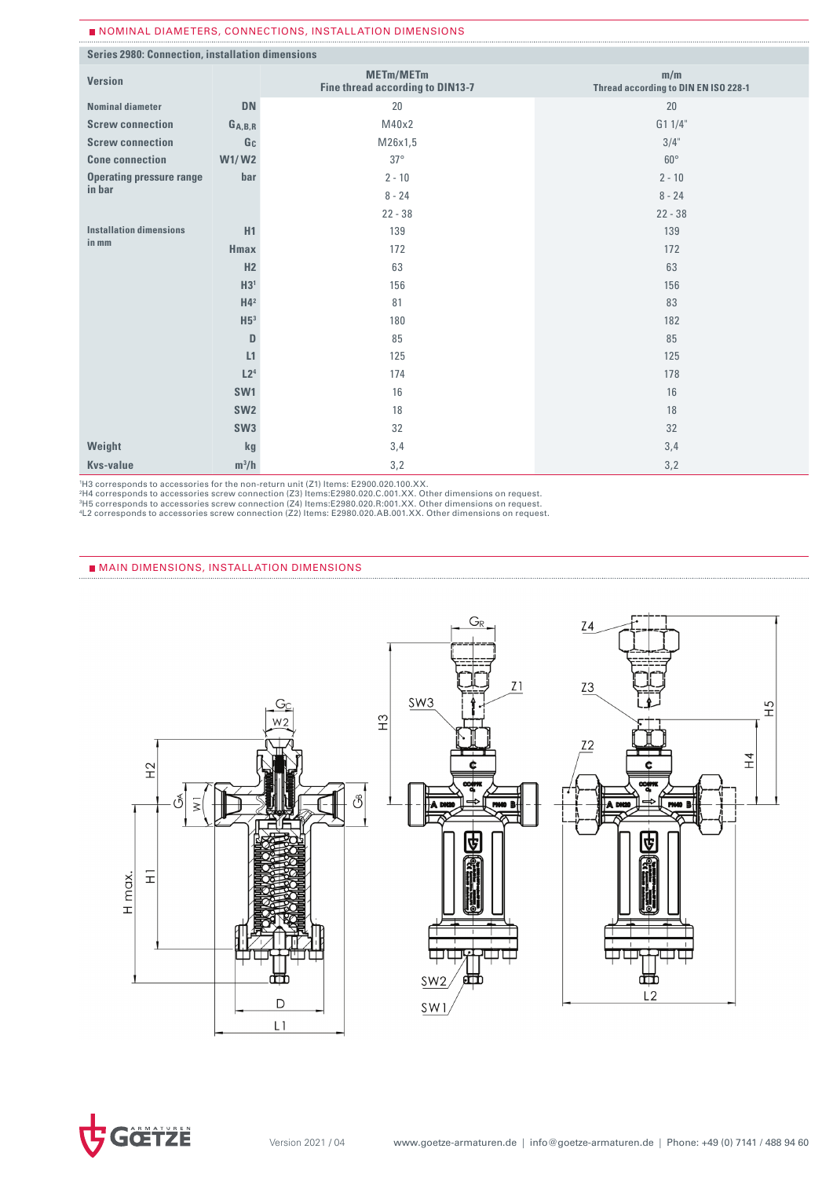#### Nominal diameters, connections, installation dimensions

| Series 2980: Connection, installation dimensions |                 |                                                      |                                             |
|--------------------------------------------------|-----------------|------------------------------------------------------|---------------------------------------------|
| <b>Version</b>                                   |                 | <b>METm/METm</b><br>Fine thread according to DIN13-7 | m/m<br>Thread according to DIN EN ISO 228-1 |
| <b>Nominal diameter</b>                          | <b>DN</b>       | 20                                                   | 20                                          |
| <b>Screw connection</b>                          | $G_{A,B,R}$     | M40x2                                                | G1 1/4"                                     |
| <b>Screw connection</b>                          | Gc              | M26x1,5                                              | $3/4$ "                                     |
| <b>Cone connection</b>                           | <b>W1/W2</b>    | $37^\circ$                                           | $60^\circ$                                  |
| <b>Operating pressure range</b>                  | bar             | $2 - 10$                                             | $2 - 10$                                    |
| in bar                                           |                 | $8 - 24$                                             | $8 - 24$                                    |
|                                                  |                 | $22 - 38$                                            | $22 - 38$                                   |
| <b>Installation dimensions</b>                   | H1              | 139                                                  | 139                                         |
| in mm                                            | <b>Hmax</b>     | 172                                                  | 172                                         |
|                                                  | H <sub>2</sub>  | 63                                                   | 63                                          |
|                                                  | H3 <sup>1</sup> | 156                                                  | 156                                         |
|                                                  | H4 <sup>2</sup> | 81                                                   | 83                                          |
|                                                  | H5 <sup>3</sup> | 180                                                  | 182                                         |
|                                                  | D               | 85                                                   | 85                                          |
|                                                  | L1              | 125                                                  | 125                                         |
|                                                  | L2 <sup>4</sup> | 174                                                  | 178                                         |
|                                                  | SW <sub>1</sub> | 16                                                   | 16                                          |
|                                                  | SW <sub>2</sub> | 18                                                   | 18                                          |
|                                                  | SW <sub>3</sub> | 32                                                   | 32                                          |
| Weight                                           | kg              | 3,4                                                  | 3,4                                         |
| <b>Kvs-value</b>                                 | $m^3/h$         | 3,2                                                  | 3,2                                         |

'H3 corresponds to accessories for the non-return unit (Z1) Items: E2900.020.100.XX.<br>?H4 corresponds to accessories screw connection (Z3) Items:E2980.020.C.001.XX. Other dimensions on request.<br>?H5 corresponds to accessori

4L2 corresponds to accessories screw connection (Z2) Items: E2980.020.AB.001.XX. Other dimensions on request.

#### MAIN DIMENSIONS, INSTALLATION DIMENSIONS